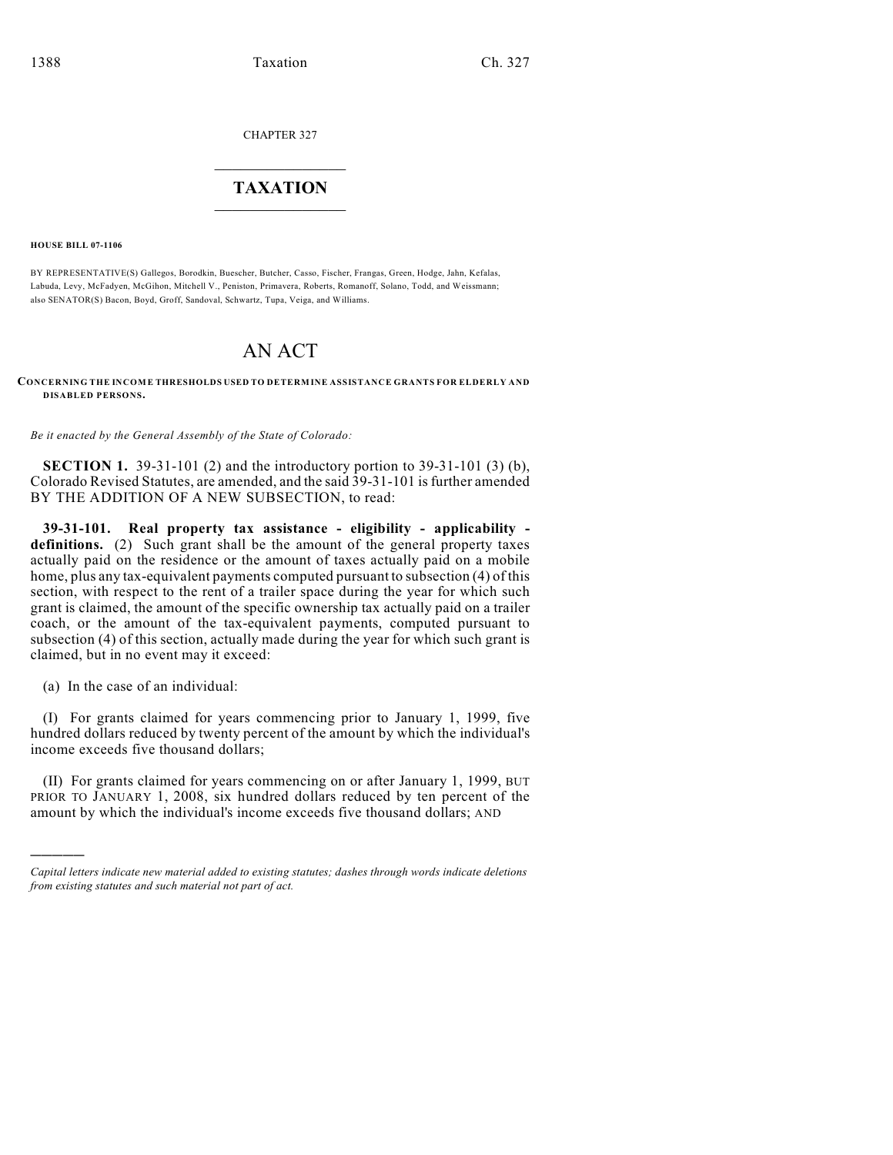CHAPTER 327

## $\overline{\phantom{a}}$  . The set of the set of the set of the set of the set of the set of the set of the set of the set of the set of the set of the set of the set of the set of the set of the set of the set of the set of the set o **TAXATION**  $\_$

**HOUSE BILL 07-1106**

BY REPRESENTATIVE(S) Gallegos, Borodkin, Buescher, Butcher, Casso, Fischer, Frangas, Green, Hodge, Jahn, Kefalas, Labuda, Levy, McFadyen, McGihon, Mitchell V., Peniston, Primavera, Roberts, Romanoff, Solano, Todd, and Weissmann; also SENATOR(S) Bacon, Boyd, Groff, Sandoval, Schwartz, Tupa, Veiga, and Williams.

## AN ACT

**CONCERNING THE INCOME THRESHOLDS USED TO DETERMINE ASSISTANCE GRANTS FOR ELDERLY AND DISABLED PERSONS.**

*Be it enacted by the General Assembly of the State of Colorado:*

**SECTION 1.** 39-31-101 (2) and the introductory portion to 39-31-101 (3) (b), Colorado Revised Statutes, are amended, and the said 39-31-101 is further amended BY THE ADDITION OF A NEW SUBSECTION, to read:

**39-31-101. Real property tax assistance - eligibility - applicability**  definitions. (2) Such grant shall be the amount of the general property taxes actually paid on the residence or the amount of taxes actually paid on a mobile home, plus any tax-equivalent payments computed pursuant to subsection (4) of this section, with respect to the rent of a trailer space during the year for which such grant is claimed, the amount of the specific ownership tax actually paid on a trailer coach, or the amount of the tax-equivalent payments, computed pursuant to subsection (4) of this section, actually made during the year for which such grant is claimed, but in no event may it exceed:

(a) In the case of an individual:

)))))

(I) For grants claimed for years commencing prior to January 1, 1999, five hundred dollars reduced by twenty percent of the amount by which the individual's income exceeds five thousand dollars;

(II) For grants claimed for years commencing on or after January 1, 1999, BUT PRIOR TO JANUARY 1, 2008, six hundred dollars reduced by ten percent of the amount by which the individual's income exceeds five thousand dollars; AND

*Capital letters indicate new material added to existing statutes; dashes through words indicate deletions from existing statutes and such material not part of act.*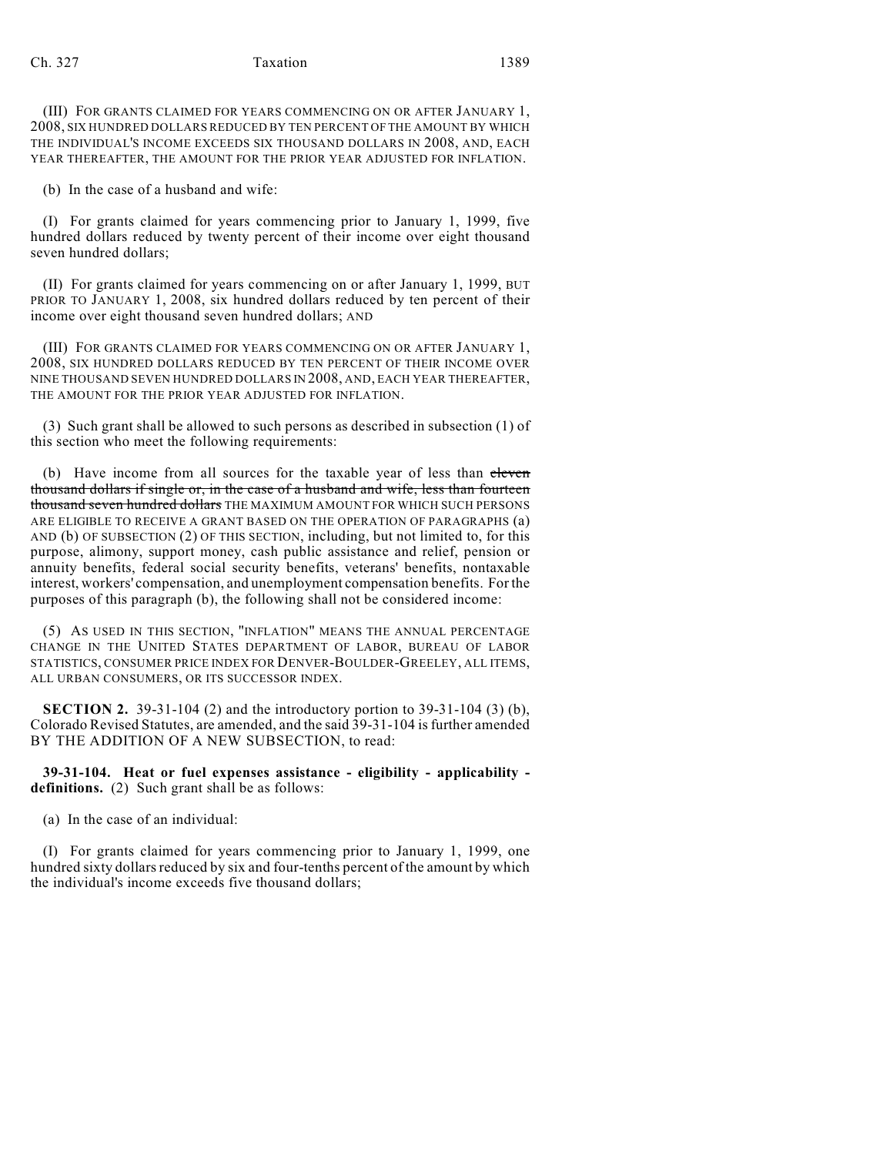## Ch. 327 Taxation 1389

(III) FOR GRANTS CLAIMED FOR YEARS COMMENCING ON OR AFTER JANUARY 1, 2008, SIX HUNDRED DOLLARS REDUCED BY TEN PERCENT OF THE AMOUNT BY WHICH THE INDIVIDUAL'S INCOME EXCEEDS SIX THOUSAND DOLLARS IN 2008, AND, EACH YEAR THEREAFTER, THE AMOUNT FOR THE PRIOR YEAR ADJUSTED FOR INFLATION.

(b) In the case of a husband and wife:

(I) For grants claimed for years commencing prior to January 1, 1999, five hundred dollars reduced by twenty percent of their income over eight thousand seven hundred dollars;

(II) For grants claimed for years commencing on or after January 1, 1999, BUT PRIOR TO JANUARY 1, 2008, six hundred dollars reduced by ten percent of their income over eight thousand seven hundred dollars; AND

(III) FOR GRANTS CLAIMED FOR YEARS COMMENCING ON OR AFTER JANUARY 1, 2008, SIX HUNDRED DOLLARS REDUCED BY TEN PERCENT OF THEIR INCOME OVER NINE THOUSAND SEVEN HUNDRED DOLLARS IN 2008, AND, EACH YEAR THEREAFTER, THE AMOUNT FOR THE PRIOR YEAR ADJUSTED FOR INFLATION.

(3) Such grant shall be allowed to such persons as described in subsection (1) of this section who meet the following requirements:

(b) Have income from all sources for the taxable year of less than eleven thousand dollars if single or, in the case of a husband and wife, less than fourteen thousand seven hundred dollars THE MAXIMUM AMOUNT FOR WHICH SUCH PERSONS ARE ELIGIBLE TO RECEIVE A GRANT BASED ON THE OPERATION OF PARAGRAPHS (a) AND (b) OF SUBSECTION (2) OF THIS SECTION, including, but not limited to, for this purpose, alimony, support money, cash public assistance and relief, pension or annuity benefits, federal social security benefits, veterans' benefits, nontaxable interest, workers' compensation, and unemployment compensation benefits. For the purposes of this paragraph (b), the following shall not be considered income:

(5) AS USED IN THIS SECTION, "INFLATION" MEANS THE ANNUAL PERCENTAGE CHANGE IN THE UNITED STATES DEPARTMENT OF LABOR, BUREAU OF LABOR STATISTICS, CONSUMER PRICE INDEX FOR DENVER-BOULDER-GREELEY, ALL ITEMS, ALL URBAN CONSUMERS, OR ITS SUCCESSOR INDEX.

**SECTION 2.** 39-31-104 (2) and the introductory portion to 39-31-104 (3) (b), Colorado Revised Statutes, are amended, and the said 39-31-104 is further amended BY THE ADDITION OF A NEW SUBSECTION, to read:

**39-31-104. Heat or fuel expenses assistance - eligibility - applicability definitions.** (2) Such grant shall be as follows:

(a) In the case of an individual:

(I) For grants claimed for years commencing prior to January 1, 1999, one hundred sixty dollars reduced by six and four-tenths percent of the amount by which the individual's income exceeds five thousand dollars;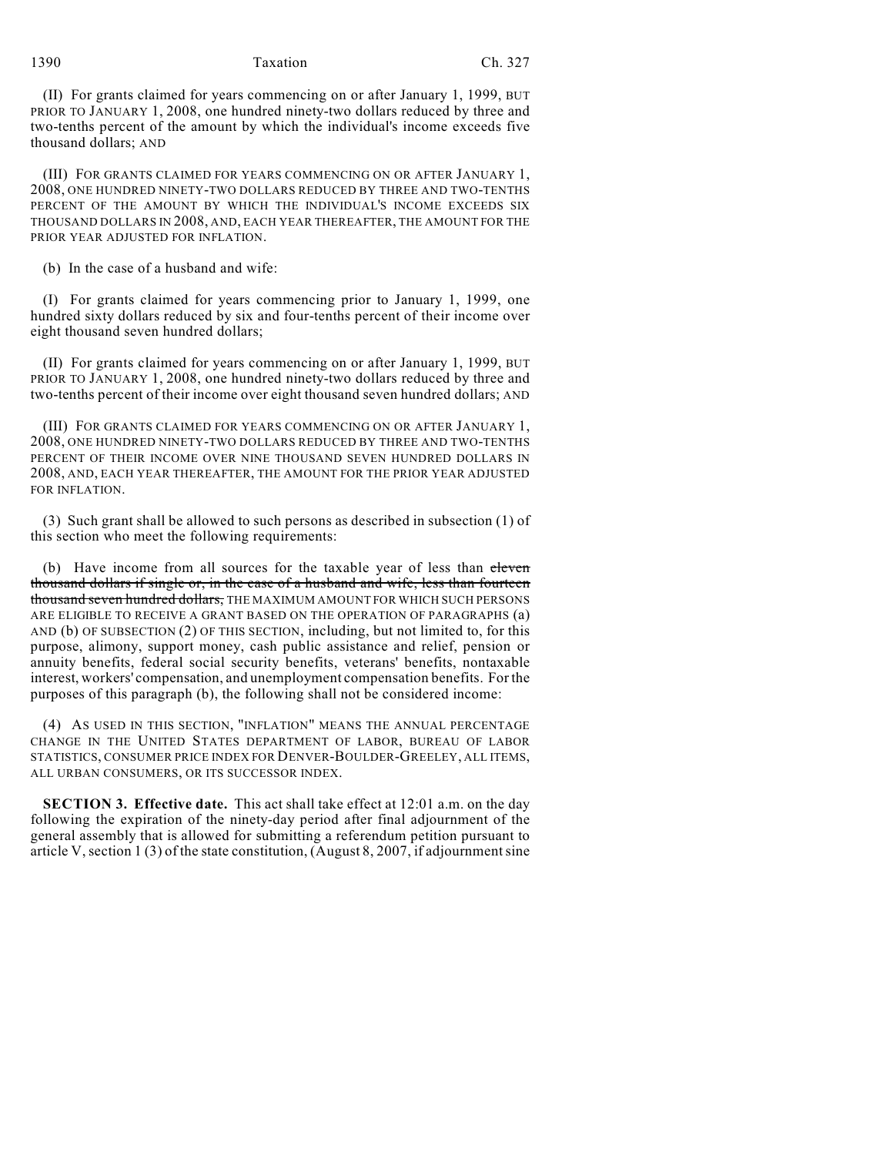## 1390 Taxation Ch. 327

(II) For grants claimed for years commencing on or after January 1, 1999, BUT PRIOR TO JANUARY 1, 2008, one hundred ninety-two dollars reduced by three and two-tenths percent of the amount by which the individual's income exceeds five thousand dollars; AND

(III) FOR GRANTS CLAIMED FOR YEARS COMMENCING ON OR AFTER JANUARY 1, 2008, ONE HUNDRED NINETY-TWO DOLLARS REDUCED BY THREE AND TWO-TENTHS PERCENT OF THE AMOUNT BY WHICH THE INDIVIDUAL'S INCOME EXCEEDS SIX THOUSAND DOLLARS IN 2008, AND, EACH YEAR THEREAFTER, THE AMOUNT FOR THE PRIOR YEAR ADJUSTED FOR INFLATION.

(b) In the case of a husband and wife:

(I) For grants claimed for years commencing prior to January 1, 1999, one hundred sixty dollars reduced by six and four-tenths percent of their income over eight thousand seven hundred dollars;

(II) For grants claimed for years commencing on or after January 1, 1999, BUT PRIOR TO JANUARY 1, 2008, one hundred ninety-two dollars reduced by three and two-tenths percent of their income over eight thousand seven hundred dollars; AND

(III) FOR GRANTS CLAIMED FOR YEARS COMMENCING ON OR AFTER JANUARY 1, 2008, ONE HUNDRED NINETY-TWO DOLLARS REDUCED BY THREE AND TWO-TENTHS PERCENT OF THEIR INCOME OVER NINE THOUSAND SEVEN HUNDRED DOLLARS IN 2008, AND, EACH YEAR THEREAFTER, THE AMOUNT FOR THE PRIOR YEAR ADJUSTED FOR INFLATION.

(3) Such grant shall be allowed to such persons as described in subsection (1) of this section who meet the following requirements:

(b) Have income from all sources for the taxable year of less than eleven thousand dollars if single or, in the case of a husband and wife, less than fourteen thousand seven hundred dollars, THE MAXIMUM AMOUNT FOR WHICH SUCH PERSONS ARE ELIGIBLE TO RECEIVE A GRANT BASED ON THE OPERATION OF PARAGRAPHS (a) AND (b) OF SUBSECTION (2) OF THIS SECTION, including, but not limited to, for this purpose, alimony, support money, cash public assistance and relief, pension or annuity benefits, federal social security benefits, veterans' benefits, nontaxable interest, workers' compensation, and unemployment compensation benefits. For the purposes of this paragraph (b), the following shall not be considered income:

(4) AS USED IN THIS SECTION, "INFLATION" MEANS THE ANNUAL PERCENTAGE CHANGE IN THE UNITED STATES DEPARTMENT OF LABOR, BUREAU OF LABOR STATISTICS, CONSUMER PRICE INDEX FOR DENVER-BOULDER-GREELEY, ALL ITEMS, ALL URBAN CONSUMERS, OR ITS SUCCESSOR INDEX.

**SECTION 3. Effective date.** This act shall take effect at 12:01 a.m. on the day following the expiration of the ninety-day period after final adjournment of the general assembly that is allowed for submitting a referendum petition pursuant to article V, section 1 (3) of the state constitution, (August 8, 2007, if adjournment sine